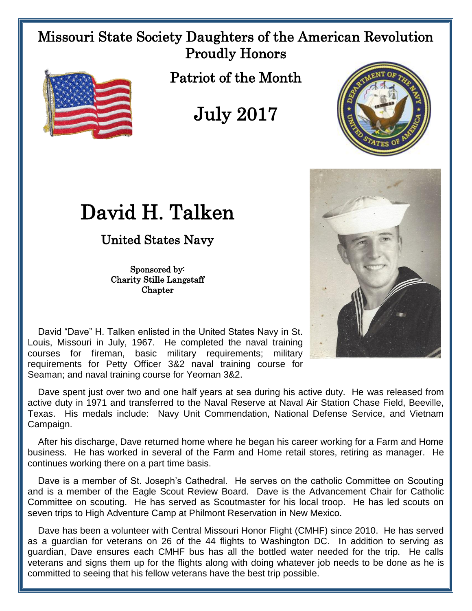## Missouri State Society Daughters of the American Revolution Proudly Honors



Patriot of the Month

## July 2017



## David H. Talken

United States Navy

Sponsored by: Charity Stille Langstaff **Chapter** 



 David "Dave" H. Talken enlisted in the United States Navy in St. Louis, Missouri in July, 1967. He completed the naval training courses for fireman, basic military requirements; military requirements for Petty Officer 3&2 naval training course for Seaman; and naval training course for Yeoman 3&2.

 Dave spent just over two and one half years at sea during his active duty. He was released from active duty in 1971 and transferred to the Naval Reserve at Naval Air Station Chase Field, Beeville, Texas. His medals include: Navy Unit Commendation, National Defense Service, and Vietnam Campaign.

 After his discharge, Dave returned home where he began his career working for a Farm and Home business. He has worked in several of the Farm and Home retail stores, retiring as manager. He continues working there on a part time basis.

 Dave is a member of St. Joseph's Cathedral. He serves on the catholic Committee on Scouting and is a member of the Eagle Scout Review Board. Dave is the Advancement Chair for Catholic Committee on scouting. He has served as Scoutmaster for his local troop. He has led scouts on seven trips to High Adventure Camp at Philmont Reservation in New Mexico.

 Dave has been a volunteer with Central Missouri Honor Flight (CMHF) since 2010. He has served as a guardian for veterans on 26 of the 44 flights to Washington DC. In addition to serving as guardian, Dave ensures each CMHF bus has all the bottled water needed for the trip. He calls veterans and signs them up for the flights along with doing whatever job needs to be done as he is committed to seeing that his fellow veterans have the best trip possible.